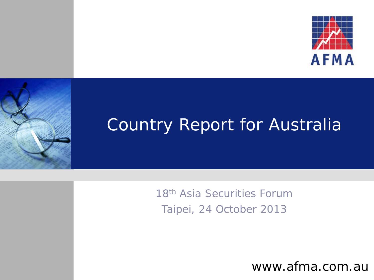



## Country Report for Australia

18<sup>th</sup> Asia Securities Forum Taipei, 24 October 2013

www.afma.com.au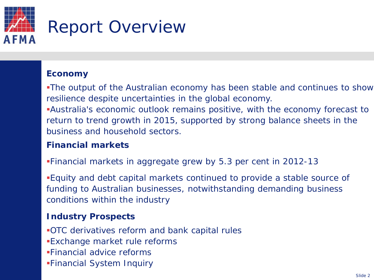

## **Economy**

The output of the Australian economy has been stable and continues to show resilience despite uncertainties in the global economy.

Australia's economic outlook remains positive, with the economy forecast to return to trend growth in 2015, supported by strong balance sheets in the business and household sectors.

## **Financial markets**

Financial markets in aggregate grew by 5.3 per cent in 2012-13

Equity and debt capital markets continued to provide a stable source of funding to Australian businesses, notwithstanding demanding business conditions within the industry

## **Industry Prospects**

OTC derivatives reform and bank capital rules

- Exchange market rule reforms
- Financial advice reforms
- Financial System Inquiry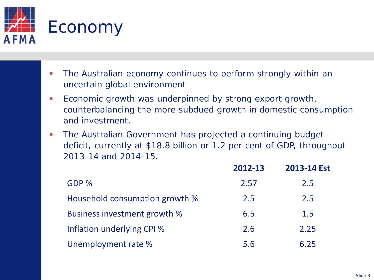

- The Australian economy continues to perform strongly within an uncertain global environment
- **Economic growth was underpinned by strong export growth,** counterbalancing the more subdued growth in domestic consumption and investment.
- The Australian Government has projected a continuing budget deficit, currently at \$18.8 billion or 1.2 per cent of GDP, throughout 2013-14 and 2014-15.

|                                | 2012-13 | 2013-14 Est |
|--------------------------------|---------|-------------|
| GDP %                          | 2.57    | 2.5         |
| Household consumption growth % | 2.5     | 2.5         |
| Business investment growth %   | 6.5     | 1.5         |
| Inflation underlying CPI %     | 2.6     | 2.25        |
| Unemployment rate %            | 5.6     | 6.25        |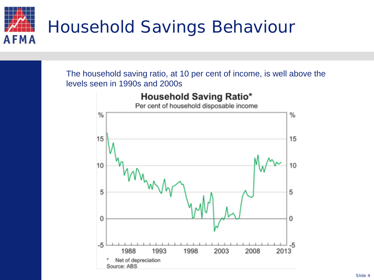

The household saving ratio, at 10 per cent of income, is well above the levels seen in 1990s and 2000s

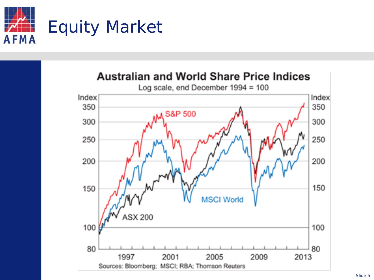

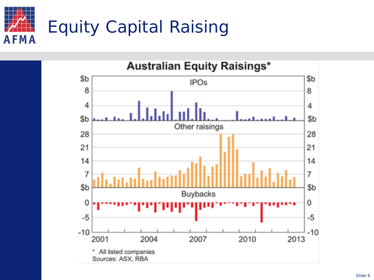

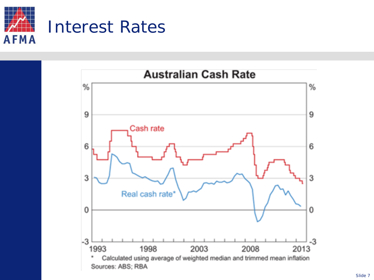

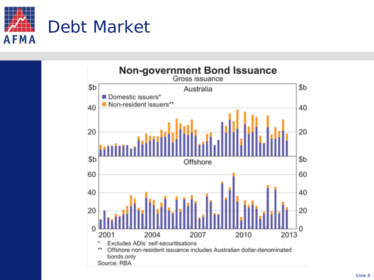